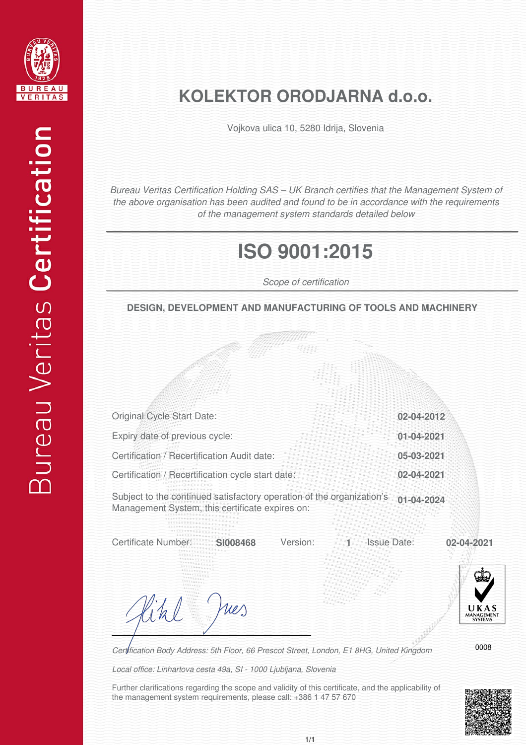

## **KOLEKTOR ORODJARNA d.o.o.**

Vojkova ulica 10, 5280 Idrija, Slovenia

*Bureau Veritas Certification Holding SAS – UK Branch certifies that the Management System of the above organisation has been audited and found to be in accordance with the requirements of the management system standards detailed below*

## **ISO 9001:2015**

*Scope of certification*

**DESIGN, DEVELOPMENT AND MANUFACTURING OF TOOLS AND MACHINERY**

| Original Cycle Start Date:                                                                                               | 02-04-2012       |  |
|--------------------------------------------------------------------------------------------------------------------------|------------------|--|
| Expiry date of previous cycle:                                                                                           | 01-04-2021       |  |
| Certification / Recertification Audit date:                                                                              | 05-03-2021       |  |
| Certification / Recertification cycle start date:                                                                        | 02-04-2021       |  |
| Subject to the continued satisfactory operation of the organization's<br>Management System, this certificate expires on: | $01 - 04 - 2024$ |  |

Certificate Number: **SI008468** Version: 1 Issue Date: 02-04-2021

**Issue Date:** 



ues

*Certification Body Address: 5th Floor, 66 Prescot Street, London, E1 8HG, United Kingdom*

*Local office: Linhartova cesta 49a, SI - 1000 Ljubljana, Slovenia*

Further clarifications regarding the scope and validity of this certificate, and the applicability of the management system requirements, please call: +386 1 47 57 670